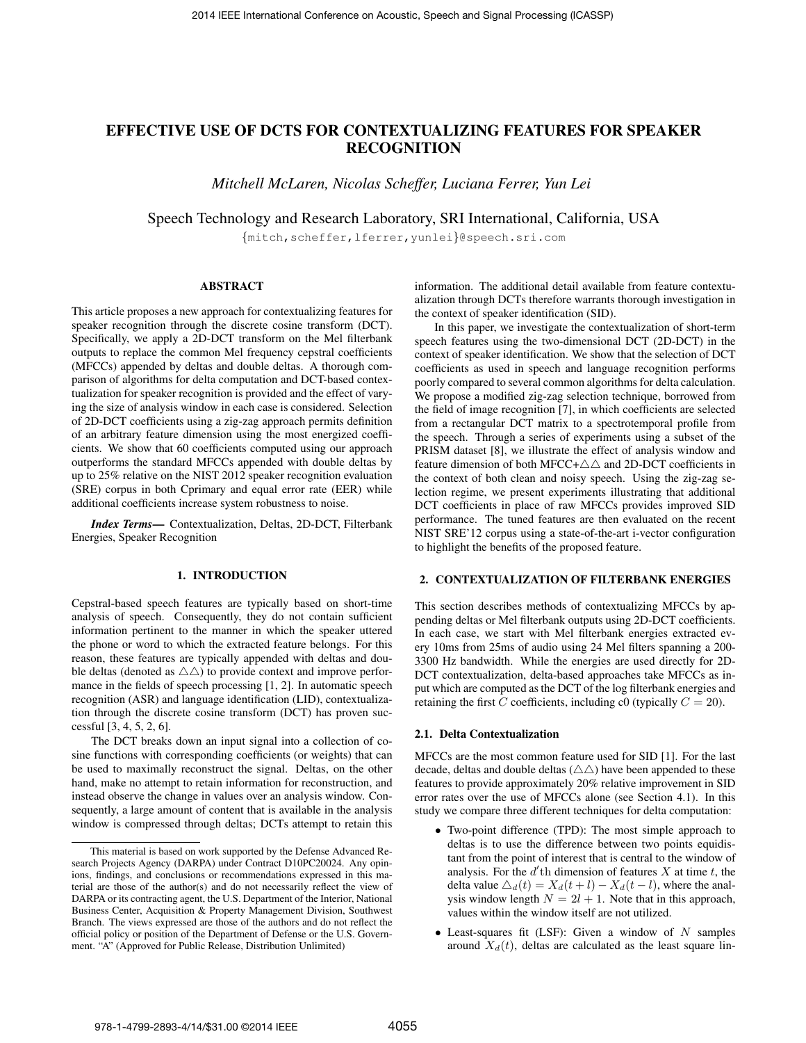# EFFECTIVE USE OF DCTS FOR CONTEXTUALIZING FEATURES FOR SPEAKER RECOGNITION

*Mitchell McLaren, Nicolas Scheffer, Luciana Ferrer, Yun Lei*

Speech Technology and Research Laboratory, SRI International, California, USA

{mitch,scheffer,lferrer,yunlei}@speech.sri.com

## ABSTRACT

This article proposes a new approach for contextualizing features for speaker recognition through the discrete cosine transform (DCT). Specifically, we apply a 2D-DCT transform on the Mel filterbank outputs to replace the common Mel frequency cepstral coefficients (MFCCs) appended by deltas and double deltas. A thorough comparison of algorithms for delta computation and DCT-based contextualization for speaker recognition is provided and the effect of varying the size of analysis window in each case is considered. Selection of 2D-DCT coefficients using a zig-zag approach permits definition of an arbitrary feature dimension using the most energized coefficients. We show that 60 coefficients computed using our approach outperforms the standard MFCCs appended with double deltas by up to 25% relative on the NIST 2012 speaker recognition evaluation (SRE) corpus in both Cprimary and equal error rate (EER) while additional coefficients increase system robustness to noise.

*Index Terms*— Contextualization, Deltas, 2D-DCT, Filterbank Energies, Speaker Recognition

#### 1. INTRODUCTION

Cepstral-based speech features are typically based on short-time analysis of speech. Consequently, they do not contain sufficient information pertinent to the manner in which the speaker uttered the phone or word to which the extracted feature belongs. For this reason, these features are typically appended with deltas and double deltas (denoted as  $\triangle \triangle$ ) to provide context and improve performance in the fields of speech processing [1, 2]. In automatic speech recognition (ASR) and language identification (LID), contextualization through the discrete cosine transform (DCT) has proven successful [3, 4, 5, 2, 6].

The DCT breaks down an input signal into a collection of cosine functions with corresponding coefficients (or weights) that can be used to maximally reconstruct the signal. Deltas, on the other hand, make no attempt to retain information for reconstruction, and instead observe the change in values over an analysis window. Consequently, a large amount of content that is available in the analysis window is compressed through deltas; DCTs attempt to retain this information. The additional detail available from feature contextualization through DCTs therefore warrants thorough investigation in the context of speaker identification (SID).

In this paper, we investigate the contextualization of short-term speech features using the two-dimensional DCT (2D-DCT) in the context of speaker identification. We show that the selection of DCT coefficients as used in speech and language recognition performs poorly compared to several common algorithms for delta calculation. We propose a modified zig-zag selection technique, borrowed from the field of image recognition [7], in which coefficients are selected from a rectangular DCT matrix to a spectrotemporal profile from the speech. Through a series of experiments using a subset of the PRISM dataset [8], we illustrate the effect of analysis window and feature dimension of both MFCC+ $\triangle \triangle$  and 2D-DCT coefficients in the context of both clean and noisy speech. Using the zig-zag selection regime, we present experiments illustrating that additional DCT coefficients in place of raw MFCCs provides improved SID performance. The tuned features are then evaluated on the recent NIST SRE'12 corpus using a state-of-the-art i-vector configuration to highlight the benefits of the proposed feature.

## 2. CONTEXTUALIZATION OF FILTERBANK ENERGIES

This section describes methods of contextualizing MFCCs by appending deltas or Mel filterbank outputs using 2D-DCT coefficients. In each case, we start with Mel filterbank energies extracted every 10ms from 25ms of audio using 24 Mel filters spanning a 200- 3300 Hz bandwidth. While the energies are used directly for 2D-DCT contextualization, delta-based approaches take MFCCs as input which are computed as the DCT of the log filterbank energies and retaining the first C coefficients, including c0 (typically  $C = 20$ ).

#### 2.1. Delta Contextualization

MFCCs are the most common feature used for SID [1]. For the last decade, deltas and double deltas  $(\triangle \triangle)$  have been appended to these features to provide approximately 20% relative improvement in SID error rates over the use of MFCCs alone (see Section 4.1). In this study we compare three different techniques for delta computation:

- Two-point difference (TPD): The most simple approach to deltas is to use the difference between two points equidistant from the point of interest that is central to the window of analysis. For the  $d'$ th dimension of features  $X$  at time  $t$ , the delta value  $\Delta_d(t) = X_d(t + l) - X_d(t - l)$ , where the analysis window length  $N = 2l + 1$ . Note that in this approach, values within the window itself are not utilized.
- Least-squares fit (LSF): Given a window of  $N$  samples around  $X_d(t)$ , deltas are calculated as the least square lin-

This material is based on work supported by the Defense Advanced Research Projects Agency (DARPA) under Contract D10PC20024. Any opinions, findings, and conclusions or recommendations expressed in this material are those of the author(s) and do not necessarily reflect the view of DARPA or its contracting agent, the U.S. Department of the Interior, National Business Center, Acquisition & Property Management Division, Southwest Branch. The views expressed are those of the authors and do not reflect the official policy or position of the Department of Defense or the U.S. Government. "A" (Approved for Public Release, Distribution Unlimited)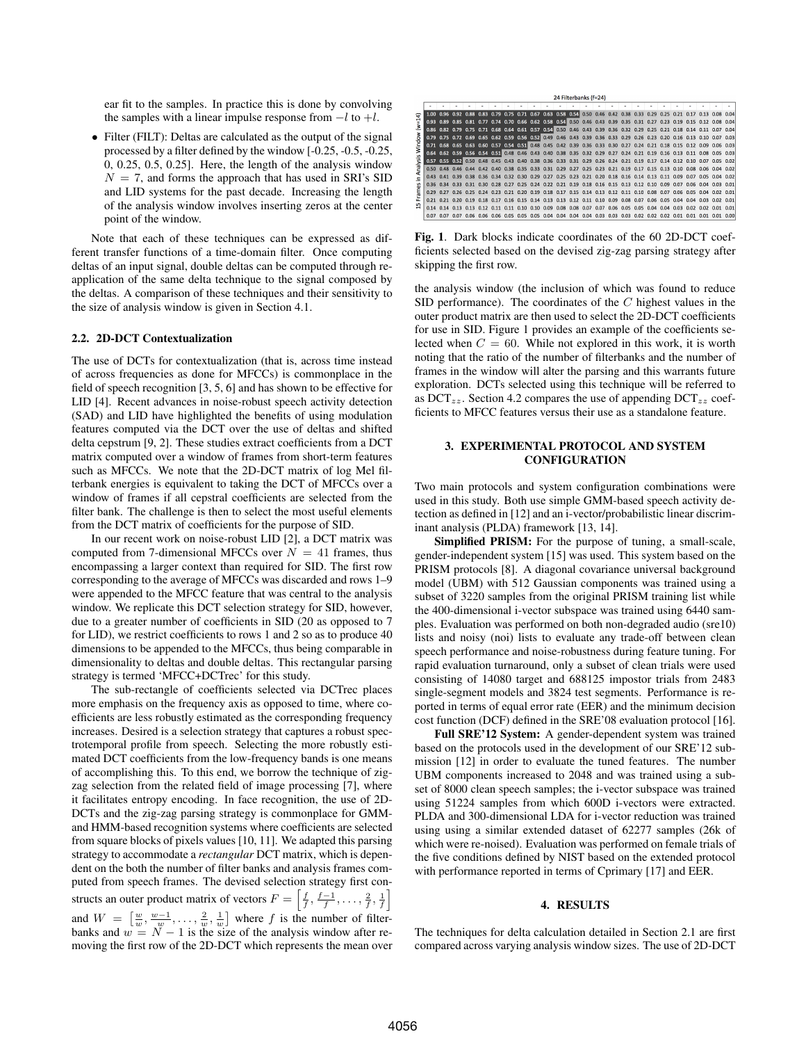ear fit to the samples. In practice this is done by convolving the samples with a linear impulse response from  $-l$  to  $+l$ .

• Filter (FILT): Deltas are calculated as the output of the signal processed by a filter defined by the window [-0.25, -0.5, -0.25, 0, 0.25, 0.5, 0.25]. Here, the length of the analysis window  $N = 7$ , and forms the approach that has used in SRI's SID and LID systems for the past decade. Increasing the length of the analysis window involves inserting zeros at the center point of the window.

Note that each of these techniques can be expressed as different transfer functions of a time-domain filter. Once computing deltas of an input signal, double deltas can be computed through reapplication of the same delta technique to the signal composed by the deltas. A comparison of these techniques and their sensitivity to the size of analysis window is given in Section 4.1.

#### 2.2. 2D-DCT Contextualization

The use of DCTs for contextualization (that is, across time instead of across frequencies as done for MFCCs) is commonplace in the field of speech recognition [3, 5, 6] and has shown to be effective for LID [4]. Recent advances in noise-robust speech activity detection (SAD) and LID have highlighted the benefits of using modulation features computed via the DCT over the use of deltas and shifted delta cepstrum [9, 2]. These studies extract coefficients from a DCT matrix computed over a window of frames from short-term features such as MFCCs. We note that the 2D-DCT matrix of log Mel filterbank energies is equivalent to taking the DCT of MFCCs over a window of frames if all cepstral coefficients are selected from the filter bank. The challenge is then to select the most useful elements from the DCT matrix of coefficients for the purpose of SID.

In our recent work on noise-robust LID [2], a DCT matrix was computed from 7-dimensional MFCCs over  $N = 41$  frames, thus encompassing a larger context than required for SID. The first row corresponding to the average of MFCCs was discarded and rows 1–9 were appended to the MFCC feature that was central to the analysis window. We replicate this DCT selection strategy for SID, however, due to a greater number of coefficients in SID (20 as opposed to 7 for LID), we restrict coefficients to rows 1 and 2 so as to produce 40 dimensions to be appended to the MFCCs, thus being comparable in dimensionality to deltas and double deltas. This rectangular parsing strategy is termed 'MFCC+DCTrec' for this study.

The sub-rectangle of coefficients selected via DCTrec places more emphasis on the frequency axis as opposed to time, where coefficients are less robustly estimated as the corresponding frequency increases. Desired is a selection strategy that captures a robust spectrotemporal profile from speech. Selecting the more robustly estimated DCT coefficients from the low-frequency bands is one means of accomplishing this. To this end, we borrow the technique of zigzag selection from the related field of image processing [7], where it facilitates entropy encoding. In face recognition, the use of 2D-DCTs and the zig-zag parsing strategy is commonplace for GMMand HMM-based recognition systems where coefficients are selected from square blocks of pixels values [10, 11]. We adapted this parsing strategy to accommodate a *rectangular* DCT matrix, which is dependent on the both the number of filter banks and analysis frames computed from speech frames. The devised selection strategy first constructs an outer product matrix of vectors  $F = \left[\frac{f}{f}, \frac{f-1}{f}, \dots, \frac{2}{f}, \frac{1}{f}\right]$ and  $W = \left[\frac{w}{w}, \frac{w-1}{w}, \dots, \frac{2}{w}, \frac{1}{w}\right]$  where f is the number of filterbanks and  $w = N - 1$  is the size of the analysis window after removing the first row of the 2D-DCT which represents the mean over

| 24 Filterbanks (f=24) |  |  |               |      |  |  |                                                                  |  |  |      |      |      |      |      |      |      |  |  |  |                                                                                                                         |  |
|-----------------------|--|--|---------------|------|--|--|------------------------------------------------------------------|--|--|------|------|------|------|------|------|------|--|--|--|-------------------------------------------------------------------------------------------------------------------------|--|
|                       |  |  |               |      |  |  |                                                                  |  |  |      |      |      |      |      |      |      |  |  |  |                                                                                                                         |  |
|                       |  |  |               |      |  |  |                                                                  |  |  |      |      |      |      |      |      |      |  |  |  | 1.00 0.96 0.92 0.88 0.83 0.79 0.75 0.71 0.67 0.63 0.58 0.54 0.50 0.46 0.42 0.38 0.33 0.29 0.25 0.21 0.17 0.13 0.08 0.04 |  |
| ú=v)                  |  |  |               |      |  |  |                                                                  |  |  |      |      |      |      |      |      |      |  |  |  | 0.93 0.89 0.85 0.81 0.77 0.74 0.70 0.66 0.62 0.58 0.54 0.50 0.46 0.43 0.39 0.35 0.31 0.27 0.23 0.19 0.15 0.12 0.08 0.04 |  |
|                       |  |  |               |      |  |  |                                                                  |  |  |      |      |      |      |      |      |      |  |  |  | 0.86 0.82 0.79 0.75 0.71 0.68 0.64 0.61 0.57 0.54 0.50 0.46 0.43 0.39 0.36 0.32 0.29 0.25 0.21 0.18 0.14 0.11 0.07 0.04 |  |
| Window<br>Analysis    |  |  |               |      |  |  |                                                                  |  |  |      |      |      |      |      |      |      |  |  |  | 0.79 0.75 0.72 0.69 0.65 0.62 0.59 0.56 0.52 0.49 0.46 0.43 0.39 0.36 0.33 0.29 0.26 0.23 0.20 0.16 0.13 0.10 0.07 0.03 |  |
|                       |  |  |               |      |  |  |                                                                  |  |  |      |      |      |      |      |      |      |  |  |  | 0.71 0.68 0.65 0.63 0.60 0.57 0.54 0.51 0.48 0.45 0.42 0.39 0.36 0.33 0.30 0.27 0.24 0.21 0.18 0.15 0.12 0.09 0.06 0.03 |  |
|                       |  |  |               |      |  |  |                                                                  |  |  |      |      |      |      |      |      |      |  |  |  | 0.64 0.62 0.59 0.56 0.54 0.51 0.48 0.46 0.43 0.40 0.38 0.35 0.32 0.29 0.27 0.24 0.21 0.19 0.16 0.13 0.11 0.08 0.05 0.03 |  |
|                       |  |  |               |      |  |  |                                                                  |  |  |      |      |      |      |      |      |      |  |  |  | 0.57 0.55 0.52 0.50 0.48 0.45 0.43 0.40 0.38 0.36 0.33 0.31 0.29 0.26 0.24 0.21 0.19 0.17 0.14 0.12 0.10 0.07 0.05 0.02 |  |
|                       |  |  |               |      |  |  |                                                                  |  |  |      |      |      |      |      |      |      |  |  |  | 0.50 0.48 0.46 0.44 0.42 0.40 0.38 0.35 0.33 0.31 0.29 0.27 0.25 0.23 0.21 0.19 0.17 0.15 0.13 0.10 0.08 0.06 0.04 0.02 |  |
| c                     |  |  |               |      |  |  |                                                                  |  |  |      |      |      |      |      |      |      |  |  |  | 0.43 0.41 0.39 0.38 0.36 0.34 0.32 0.30 0.29 0.27 0.25 0.23 0.21 0.20 0.18 0.16 0.14 0.13 0.11 0.09 0.07 0.05 0.04 0.02 |  |
| $\mathbf{v}$<br>نة    |  |  |               |      |  |  |                                                                  |  |  |      |      |      |      |      |      |      |  |  |  | 0.36 0.34 0.33 0.31 0.30 0.28 0.27 0.25 0.24 0.22 0.21 0.19 0.18 0.16 0.15 0.13 0.12 0.10 0.09 0.07 0.06 0.04 0.03 0.01 |  |
| Fram                  |  |  |               |      |  |  |                                                                  |  |  |      |      |      |      |      |      |      |  |  |  | 0.29 0.27 0.26 0.25 0.24 0.23 0.21 0.20 0.19 0.18 0.17 0.15 0.14 0.13 0.12 0.11 0.10 0.08 0.07 0.06 0.05 0.04 0.02 0.01 |  |
| m                     |  |  | $0.20$ $0.19$ |      |  |  | 0.18 0.17 0.16 0.15 0.14 0.13 0.13 0.12 0.11 0.10 0.09 0.08 0.07 |  |  |      |      |      |      |      |      |      |  |  |  | 0.06 0.05 0.04 0.04 0.03 0.02 0.01                                                                                      |  |
| e                     |  |  |               |      |  |  |                                                                  |  |  |      |      |      |      |      |      |      |  |  |  | 0.14 0.14 0.13 0.13 0.12 0.11 0.11 0.10 0.10 0.09 0.08 0.08 0.07 0.07 0.06 0.05 0.05 0.04 0.04 0.03 0.02 0.02 0.01 0.01 |  |
|                       |  |  | 0.07          | 0.06 |  |  | 0.06 0.06 0.05 0.05 0.05                                         |  |  | 0.04 | 0.04 | 0.04 | 0.04 | 0.03 | 0.03 | 0.03 |  |  |  | $0.02$ $0.02$ $0.02$ $0.01$ $0.01$ $0.01$ $0.01$ $0.00$                                                                 |  |

Fig. 1. Dark blocks indicate coordinates of the 60 2D-DCT coefficients selected based on the devised zig-zag parsing strategy after skipping the first row.

the analysis window (the inclusion of which was found to reduce SID performance). The coordinates of the  $C$  highest values in the outer product matrix are then used to select the 2D-DCT coefficients for use in SID. Figure 1 provides an example of the coefficients selected when  $C = 60$ . While not explored in this work, it is worth noting that the ratio of the number of filterbanks and the number of frames in the window will alter the parsing and this warrants future exploration. DCTs selected using this technique will be referred to as  $DCT_{zz}$ . Section 4.2 compares the use of appending  $DCT_{zz}$  coefficients to MFCC features versus their use as a standalone feature.

## 3. EXPERIMENTAL PROTOCOL AND SYSTEM CONFIGURATION

Two main protocols and system configuration combinations were used in this study. Both use simple GMM-based speech activity detection as defined in [12] and an i-vector/probabilistic linear discriminant analysis (PLDA) framework [13, 14].

Simplified PRISM: For the purpose of tuning, a small-scale, gender-independent system [15] was used. This system based on the PRISM protocols [8]. A diagonal covariance universal background model (UBM) with 512 Gaussian components was trained using a subset of 3220 samples from the original PRISM training list while the 400-dimensional i-vector subspace was trained using 6440 samples. Evaluation was performed on both non-degraded audio (sre10) lists and noisy (noi) lists to evaluate any trade-off between clean speech performance and noise-robustness during feature tuning. For rapid evaluation turnaround, only a subset of clean trials were used consisting of 14080 target and 688125 impostor trials from 2483 single-segment models and 3824 test segments. Performance is reported in terms of equal error rate (EER) and the minimum decision cost function (DCF) defined in the SRE'08 evaluation protocol [16].

Full SRE'12 System: A gender-dependent system was trained based on the protocols used in the development of our SRE'12 submission [12] in order to evaluate the tuned features. The number UBM components increased to 2048 and was trained using a subset of 8000 clean speech samples; the i-vector subspace was trained using 51224 samples from which 600D i-vectors were extracted. PLDA and 300-dimensional LDA for i-vector reduction was trained using using a similar extended dataset of 62277 samples (26k of which were re-noised). Evaluation was performed on female trials of the five conditions defined by NIST based on the extended protocol with performance reported in terms of Cprimary [17] and EER.

#### 4. RESULTS

The techniques for delta calculation detailed in Section 2.1 are first compared across varying analysis window sizes. The use of 2D-DCT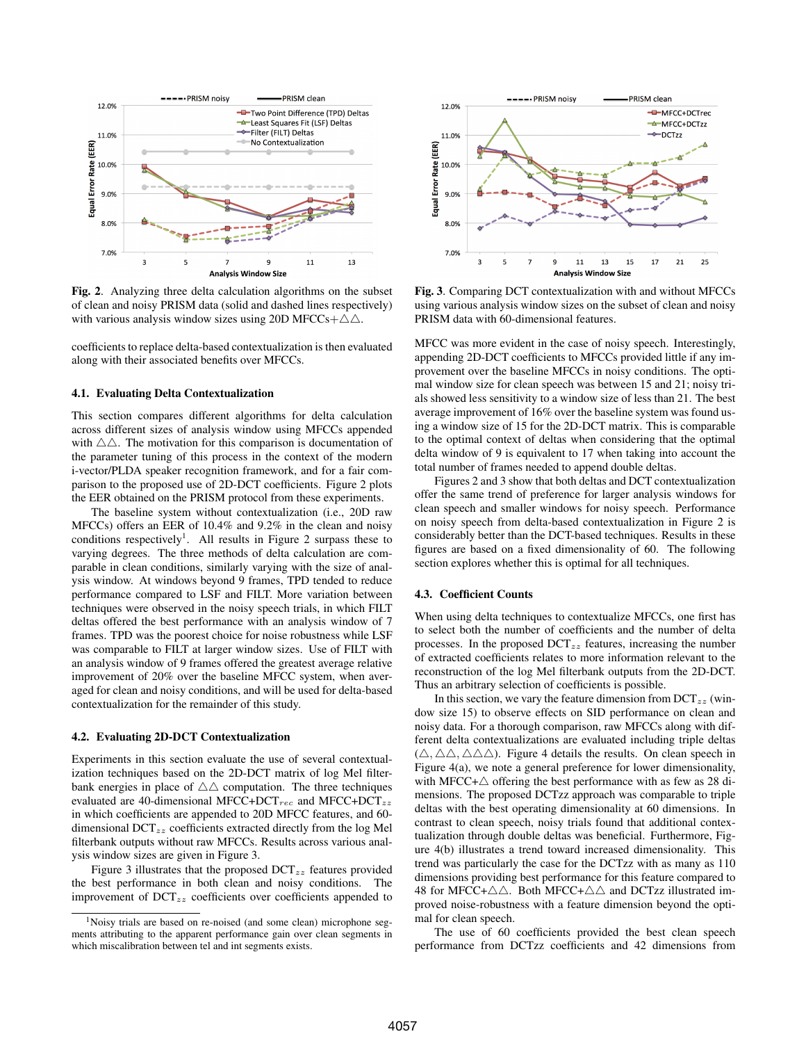

Fig. 2. Analyzing three delta calculation algorithms on the subset of clean and noisy PRISM data (solid and dashed lines respectively) with various analysis window sizes using 20D MFCCs+ $\triangle \triangle$ .

coefficients to replace delta-based contextualization is then evaluated along with their associated benefits over MFCCs.

#### 4.1. Evaluating Delta Contextualization

This section compares different algorithms for delta calculation across different sizes of analysis window using MFCCs appended with  $\triangle \triangle$ . The motivation for this comparison is documentation of the parameter tuning of this process in the context of the modern i-vector/PLDA speaker recognition framework, and for a fair comparison to the proposed use of 2D-DCT coefficients. Figure 2 plots the EER obtained on the PRISM protocol from these experiments.

The baseline system without contextualization (i.e., 20D raw MFCCs) offers an EER of 10.4% and 9.2% in the clean and noisy conditions respectively<sup>1</sup>. All results in Figure 2 surpass these to varying degrees. The three methods of delta calculation are comparable in clean conditions, similarly varying with the size of analysis window. At windows beyond 9 frames, TPD tended to reduce performance compared to LSF and FILT. More variation between techniques were observed in the noisy speech trials, in which FILT deltas offered the best performance with an analysis window of 7 frames. TPD was the poorest choice for noise robustness while LSF was comparable to FILT at larger window sizes. Use of FILT with an analysis window of 9 frames offered the greatest average relative improvement of 20% over the baseline MFCC system, when averaged for clean and noisy conditions, and will be used for delta-based contextualization for the remainder of this study.

## 4.2. Evaluating 2D-DCT Contextualization

Experiments in this section evaluate the use of several contextualization techniques based on the 2D-DCT matrix of log Mel filterbank energies in place of  $\triangle \triangle$  computation. The three techniques evaluated are 40-dimensional MFCC+DCT<sub>rec</sub> and MFCC+DCT<sub>zz</sub> in which coefficients are appended to 20D MFCC features, and 60 dimensional DCT<sub>zz</sub> coefficients extracted directly from the log Mel filterbank outputs without raw MFCCs. Results across various analysis window sizes are given in Figure 3.

Figure 3 illustrates that the proposed  $DCT_{zz}$  features provided the best performance in both clean and noisy conditions. The improvement of  $DCT_{zz}$  coefficients over coefficients appended to



Fig. 3. Comparing DCT contextualization with and without MFCCs using various analysis window sizes on the subset of clean and noisy PRISM data with 60-dimensional features.

MFCC was more evident in the case of noisy speech. Interestingly, appending 2D-DCT coefficients to MFCCs provided little if any improvement over the baseline MFCCs in noisy conditions. The optimal window size for clean speech was between 15 and 21; noisy trials showed less sensitivity to a window size of less than 21. The best average improvement of 16% over the baseline system was found using a window size of 15 for the 2D-DCT matrix. This is comparable to the optimal context of deltas when considering that the optimal delta window of 9 is equivalent to 17 when taking into account the total number of frames needed to append double deltas.

Figures 2 and 3 show that both deltas and DCT contextualization offer the same trend of preference for larger analysis windows for clean speech and smaller windows for noisy speech. Performance on noisy speech from delta-based contextualization in Figure 2 is considerably better than the DCT-based techniques. Results in these figures are based on a fixed dimensionality of 60. The following section explores whether this is optimal for all techniques.

## 4.3. Coefficient Counts

When using delta techniques to contextualize MFCCs, one first has to select both the number of coefficients and the number of delta processes. In the proposed  $DCT_{zz}$  features, increasing the number of extracted coefficients relates to more information relevant to the reconstruction of the log Mel filterbank outputs from the 2D-DCT. Thus an arbitrary selection of coefficients is possible.

In this section, we vary the feature dimension from  $DCT_{zz}$  (window size 15) to observe effects on SID performance on clean and noisy data. For a thorough comparison, raw MFCCs along with different delta contextualizations are evaluated including triple deltas  $(\triangle, \triangle \triangle, \triangle \triangle)$ . Figure 4 details the results. On clean speech in Figure 4(a), we note a general preference for lower dimensionality, with MFCC+ $\triangle$  offering the best performance with as few as 28 dimensions. The proposed DCTzz approach was comparable to triple deltas with the best operating dimensionality at 60 dimensions. In contrast to clean speech, noisy trials found that additional contextualization through double deltas was beneficial. Furthermore, Figure 4(b) illustrates a trend toward increased dimensionality. This trend was particularly the case for the DCTzz with as many as 110 dimensions providing best performance for this feature compared to 48 for MFCC+ $\triangle\triangle$ . Both MFCC+ $\triangle\triangle$  and DCTzz illustrated improved noise-robustness with a feature dimension beyond the optimal for clean speech.

The use of 60 coefficients provided the best clean speech performance from DCTzz coefficients and 42 dimensions from

<sup>&</sup>lt;sup>1</sup>Noisy trials are based on re-noised (and some clean) microphone segments attributing to the apparent performance gain over clean segments in which miscalibration between tel and int segments exists.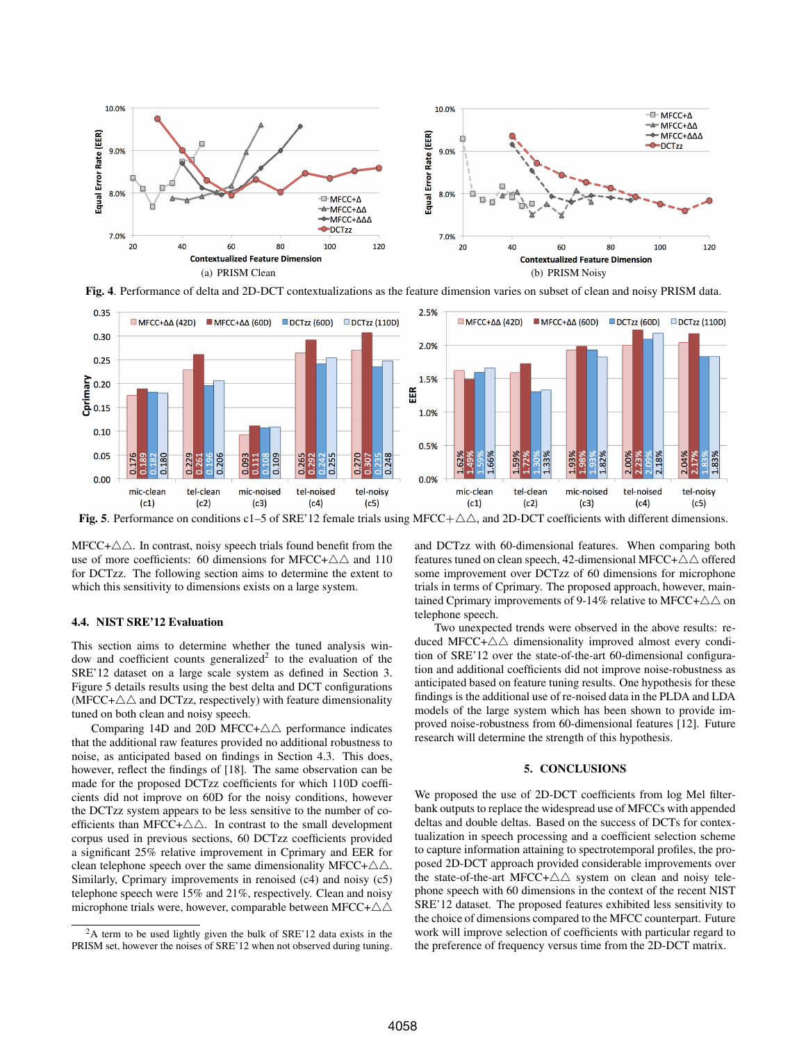

Fig. 4. Performance of delta and 2D-DCT contextualizations as the feature dimension varies on subset of clean and noisy PRISM data.



Fig. 5. Performance on conditions c1–5 of SRE'12 female trials using MFCC+ $\triangle\triangle$ , and 2D-DCT coefficients with different dimensions.

 $MFCC+\triangle\triangle$ . In contrast, noisy speech trials found benefit from the use of more coefficients: 60 dimensions for MFCC+ $\triangle \triangle$  and 110 for DCTzz. The following section aims to determine the extent to which this sensitivity to dimensions exists on a large system.

## 4.4. NIST SRE'12 Evaluation

This section aims to determine whether the tuned analysis window and coefficient counts generalized<sup>2</sup> to the evaluation of the SRE'12 dataset on a large scale system as defined in Section 3. Figure 5 details results using the best delta and DCT configurations (MFCC+ $\triangle\triangle$  and DCTzz, respectively) with feature dimensionality tuned on both clean and noisy speech.

Comparing 14D and 20D MFCC+ $\triangle \triangle$  performance indicates that the additional raw features provided no additional robustness to noise, as anticipated based on findings in Section 4.3. This does, however, reflect the findings of [18]. The same observation can be made for the proposed DCTzz coefficients for which 110D coefficients did not improve on 60D for the noisy conditions, however the DCTzz system appears to be less sensitive to the number of coefficients than MFCC+ $\triangle \triangle$ . In contrast to the small development corpus used in previous sections, 60 DCTzz coefficients provided a significant 25% relative improvement in Cprimary and EER for clean telephone speech over the same dimensionality MFCC+ $\triangle\triangle$ . Similarly, Cprimary improvements in renoised (c4) and noisy (c5) telephone speech were 15% and 21%, respectively. Clean and noisy microphone trials were, however, comparable between MFCC+ $\triangle\triangle$ 

and DCTzz with 60-dimensional features. When comparing both features tuned on clean speech, 42-dimensional MFCC+ $\triangle\triangle$  offered some improvement over DCTzz of 60 dimensions for microphone trials in terms of Cprimary. The proposed approach, however, maintained Cprimary improvements of 9-14% relative to MFCC+ $\triangle\triangle$  on telephone speech.

Two unexpected trends were observed in the above results: reduced MFCC+ $\triangle\triangle$  dimensionality improved almost every condition of SRE'12 over the state-of-the-art 60-dimensional configuration and additional coefficients did not improve noise-robustness as anticipated based on feature tuning results. One hypothesis for these findings is the additional use of re-noised data in the PLDA and LDA models of the large system which has been shown to provide improved noise-robustness from 60-dimensional features [12]. Future research will determine the strength of this hypothesis.

## 5. CONCLUSIONS

We proposed the use of 2D-DCT coefficients from log Mel filterbank outputs to replace the widespread use of MFCCs with appended deltas and double deltas. Based on the success of DCTs for contextualization in speech processing and a coefficient selection scheme to capture information attaining to spectrotemporal profiles, the proposed 2D-DCT approach provided considerable improvements over the state-of-the-art MFCC+ $\triangle\triangle$  system on clean and noisy telephone speech with 60 dimensions in the context of the recent NIST SRE'12 dataset. The proposed features exhibited less sensitivity to the choice of dimensions compared to the MFCC counterpart. Future work will improve selection of coefficients with particular regard to the preference of frequency versus time from the 2D-DCT matrix.

<sup>2</sup>A term to be used lightly given the bulk of SRE'12 data exists in the PRISM set, however the noises of SRE'12 when not observed during tuning.